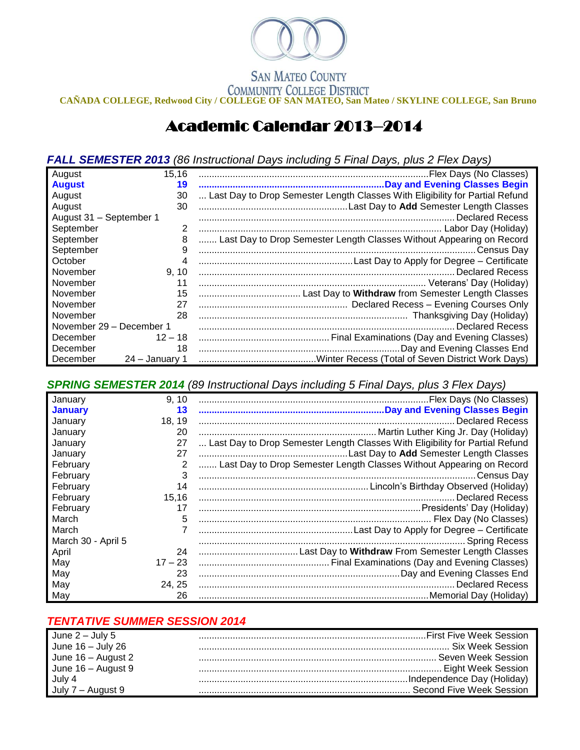

## **SAN MATEO COUNTY**

**COMMUNITY COLLEGE DISTRICT**<br>CAÑADA COLLEGE, Redwood City / COLLEGE OF SAN MATEO, San Mateo / SKYLINE COLLEGE, San Bruno

## Academic Calendar 2013–2014

*FALL SEMESTER 2013 (86 Instructional Days including 5 Final Days, plus 2 Flex Days)*

| August                   | 15,16          |                                                                              |
|--------------------------|----------------|------------------------------------------------------------------------------|
| <b>August</b>            | 19             |                                                                              |
| August                   | 30             | Last Day to Drop Semester Length Classes With Eligibility for Partial Refund |
| August                   | 30             |                                                                              |
| August 31 - September 1  |                |                                                                              |
| September                | 2              |                                                                              |
| September                | 8              | Last Day to Drop Semester Length Classes Without Appearing on Record         |
| September                | 9              |                                                                              |
| October                  | 4              |                                                                              |
| November                 | 9, 10          |                                                                              |
| November                 | 11             |                                                                              |
| November                 | 15             |                                                                              |
| November                 | 27             |                                                                              |
| November                 | 28             |                                                                              |
| November 29 - December 1 |                | <b>Declared Recess</b>                                                       |
| December                 | $12 - 18$      |                                                                              |
| December                 | 18             |                                                                              |
| December                 | 24 - January 1 |                                                                              |

*SPRING SEMESTER 2014 (89 Instructional Days including 5 Final Days, plus 3 Flex Days)*

| January            | 9, 10     |                                                                              |
|--------------------|-----------|------------------------------------------------------------------------------|
| <b>January</b>     | 13        |                                                                              |
| January            | 18, 19    |                                                                              |
| January            | 20        |                                                                              |
| January            | 27        | Last Day to Drop Semester Length Classes With Eligibility for Partial Refund |
| January            | 27        |                                                                              |
| February           | 2         | Last Day to Drop Semester Length Classes Without Appearing on Record         |
| February           | 3         |                                                                              |
| February           | 14        |                                                                              |
| February           | 15,16     |                                                                              |
| February           | 17        |                                                                              |
| March              | 5         |                                                                              |
| March              |           |                                                                              |
| March 30 - April 5 |           |                                                                              |
| April              | 24        |                                                                              |
| May                | $17 - 23$ |                                                                              |
| May                | 23        |                                                                              |
| May                | 24, 25    |                                                                              |
| May                | 26        |                                                                              |

## *TENTATIVE SUMMER SESSION 2014*

| June $2$ – July 5  |  |
|--------------------|--|
| June 16 - July 26  |  |
| June 16 - August 2 |  |
| June 16 - August 9 |  |
| July 4             |  |
|                    |  |